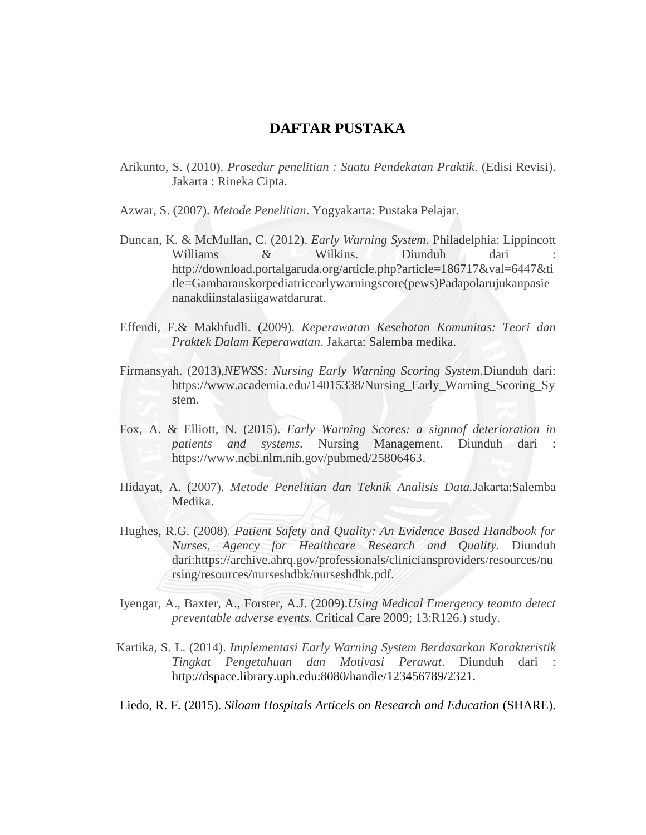## **DAFTAR PUSTAKA**

- Arikunto, S. (2010). *Prosedur penelitian : Suatu Pendekatan Praktik*. (Edisi Revisi). Jakarta : Rineka Cipta.
- Azwar, S. (2007). *Metode Penelitian*. Yogyakarta: Pustaka Pelajar.
- Duncan, K. & McMullan, C. (2012). *Early Warning System*. Philadelphia: Lippincott Williams & Wilkins. Diunduh dari http://download.portalgaruda.org/article.php?article=186717&val=6447&ti tle=Gambaranskorpediatricearlywarningscore(pews)Padapolarujukanpasie nanakdiinstalasiigawatdarurat.
- Effendi, F.& Makhfudli. (2009). *Keperawatan Kesehatan Komunitas: Teori dan Praktek Dalam Keperawatan*. Jakarta: Salemba medika.
- Firmansyah. (2013),*NEWSS: Nursing Early Warning Scoring System.*Diunduh dari: [https://www.academia.edu/14015338/Nursing\\_Early\\_Warning\\_Scoring\\_Sy](https://www.academia.edu/14015338/Nursing_Early_Warning_Scoring_System) [stem.](https://www.academia.edu/14015338/Nursing_Early_Warning_Scoring_System)
- Fox, A. & Elliott, N. (2015). *Early Warning Scores: a signnof deterioration in patients and systems.* Nursing Management. Diunduh dari : https://www.ncbi.nlm.nih.gov/pubmed/25806463.
- Hidayat, A. (2007). *Metode Penelitian dan Teknik Analisis Data.*Jakarta:Salemba Medika.
- Hughes, R.G. (2008). *Patient Safety and Quality: An Evidence Based Handbook for Nurses, Agency for Healthcare Research and Quality.* Diunduh dari[:https://archive.ahrq.gov/professionals/cliniciansproviders/resources/nu](https://archive.ahrq.gov/professionals/cliniciansproviders/resources/nursing/resources/nurseshdbk/nurseshdbk.pdf) [rsing/resources/nurseshdbk/nurseshdbk.pdf.](https://archive.ahrq.gov/professionals/cliniciansproviders/resources/nursing/resources/nurseshdbk/nurseshdbk.pdf)
- Iyengar, A., Baxter, A., Forster, A.J. (2009).*Using Medical Emergency teamto detect preventable adverse events*. Critical Care 2009; 13:R126.) study.
- Kartika, S. L. (2014). *Implementasi Early Warning System Berdasarkan Karakteristik Tingkat Pengetahuan dan Motivasi Perawat*. Diunduh dari : http://dspace.library.uph.edu:8080/handle/123456789/2321.
- Liedo, R. F. (2015). *Siloam Hospitals Articels on Research and Education* (SHARE).